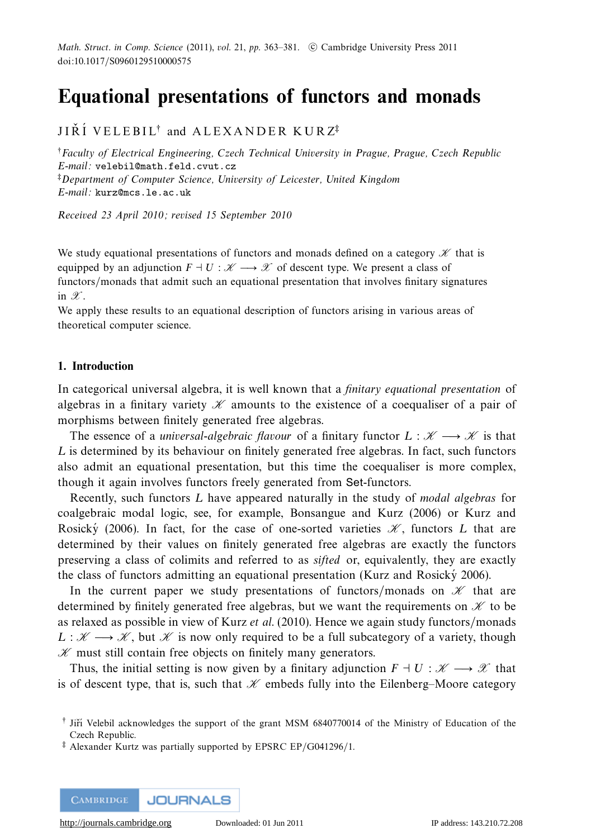# **Equational presentations of functors and monads**

 $\mathtt{JI}\check{\mathtt{R}}\check{\mathtt{I}}$   $\mathtt{VELEBIL}^{\dagger}$  and  $\mathtt{ALEXANDER}$   $\mathtt{KURZ}^{\ddagger}$ 

†Faculty of Electrical Engineering, Czech Technical University in Prague, Prague, Czech Republic E-mail: velebil@math.feld.cvut.cz ‡Department of Computer Science, University of Leicester, United Kingdom E-mail: kurz@mcs.le.ac.uk

Received 23 April 2010; revised 15 September 2010

We study equational presentations of functors and monads defined on a category  $\mathscr H$  that is equipped by an adjunction  $F \dashv U : \mathcal{K} \longrightarrow \mathcal{X}$  of descent type. We present a class of functors/monads that admit such an equational presentation that involves finitary signatures in  $\mathscr{X}$ .

We apply these results to an equational description of functors arising in various areas of theoretical computer science.

# **1. Introduction**

In categorical universal algebra, it is well known that a *finitary equational presentation* of algebras in a finitary variety  $\mathcal X$  amounts to the existence of a coequaliser of a pair of morphisms between finitely generated free algebras.

The essence of a *universal-algebraic flavour* of a finitary functor  $L : \mathcal{K} \longrightarrow \mathcal{K}$  is that *L* is determined by its behaviour on finitely generated free algebras. In fact, such functors also admit an equational presentation, but this time the coequaliser is more complex, though it again involves functors freely generated from Set-functors.

Recently, such functors *L* have appeared naturally in the study of modal algebras for coalgebraic modal logic, see, for example, Bonsangue and Kurz (2006) or Kurz and Rosicky (2006). In fact, for the case of one-sorted varieties  $\mathcal{K}$ , functors *L* that are determined by their values on finitely generated free algebras are exactly the functors preserving a class of colimits and referred to as sifted or, equivalently, they are exactly the class of functors admitting an equational presentation (Kurz and Rosický 2006).

In the current paper we study presentations of functors/monads on  $\mathcal{K}$  that are determined by finitely generated free algebras, but we want the requirements on  $\mathcal K$  to be as relaxed as possible in view of Kurz et al. (2010). Hence we again study functors/monads  $L : \mathscr{K} \longrightarrow \mathscr{K}$ , but  $\mathscr{K}$  is now only required to be a full subcategory of a variety, though  $K$  must still contain free objects on finitely many generators.

Thus, the initial setting is now given by a finitary adjunction  $F \dashv U : \mathscr{K} \longrightarrow \mathscr{X}$  that is of descent type, that is, such that  $\mathcal K$  embeds fully into the Eilenberg–Moore category

<sup>&</sup>lt;sup>†</sup> Jiří Velebil acknowledges the support of the grant MSM 6840770014 of the Ministry of Education of the Czech Republic.

<sup>‡</sup> Alexander Kurtz was partially supported by EPSRC EP/G041296/1.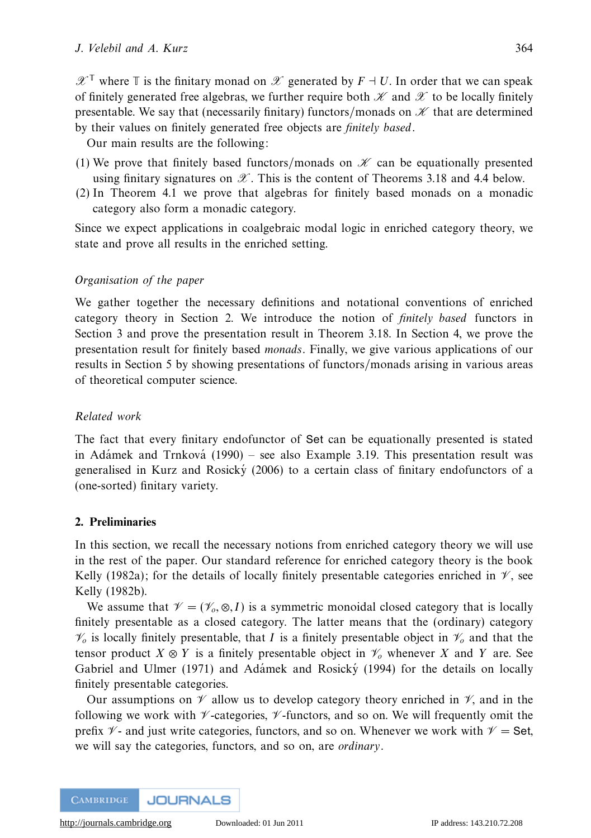$\mathscr{X}^{\mathbb{T}}$  where  $\mathbb{T}$  is the finitary monad on  $\mathscr{X}$  generated by  $F \dashv U$ . In order that we can speak of finitely generated free algebras, we further require both  $\mathcal X$  and  $\mathcal X$  to be locally finitely presentable. We say that (necessarily finitary) functors/monads on  $K$  that are determined by their values on finitely generated free objects are finitely based.

Our main results are the following:

- (1) We prove that finitely based functors/monads on  $\mathcal K$  can be equationally presented using finitary signatures on  $\mathscr X$ . This is the content of Theorems 3.18 and 4.4 below.
- (2) In Theorem 4.1 we prove that algebras for finitely based monads on a monadic category also form a monadic category.

Since we expect applications in coalgebraic modal logic in enriched category theory, we state and prove all results in the enriched setting.

# Organisation of the paper

We gather together the necessary definitions and notational conventions of enriched category theory in Section 2. We introduce the notion of finitely based functors in Section 3 and prove the presentation result in Theorem 3.18. In Section 4, we prove the presentation result for finitely based monads. Finally, we give various applications of our results in Section 5 by showing presentations of functors/monads arising in various areas of theoretical computer science.

# Related work

The fact that every finitary endofunctor of Set can be equationally presented is stated in Adamek and Trnkova (1990) – see also Example 3.19. This presentation result was generalised in Kurz and Rosicky  $(2006)$  to a certain class of finitary endofunctors of a (one-sorted) finitary variety.

# **2. Preliminaries**

In this section, we recall the necessary notions from enriched category theory we will use in the rest of the paper. Our standard reference for enriched category theory is the book Kelly (1982a); for the details of locally finitely presentable categories enriched in  $\mathcal{V}$ , see Kelly (1982b).

We assume that  $\mathcal{V} = (\mathcal{V}_0, \otimes, I)$  is a symmetric monoidal closed category that is locally finitely presentable as a closed category. The latter means that the (ordinary) category  $V_0$  is locally finitely presentable, that *I* is a finitely presentable object in  $V_0$  and that the tensor product  $X \otimes Y$  is a finitely presentable object in  $\mathcal{V}_o$  whenever X and Y are. See Gabriel and Ulmer (1971) and Adamek and Rosicky (1994) for the details on locally finitely presentable categories.

Our assumptions on  $\mathcal V$  allow us to develop category theory enriched in  $\mathcal V$ , and in the following we work with  $\nu$ -categories,  $\nu$ -functors, and so on. We will frequently omit the prefix  $\mathcal{V}$ - and just write categories, functors, and so on. Whenever we work with  $\mathcal{V} =$  Set, we will say the categories, functors, and so on, are ordinary.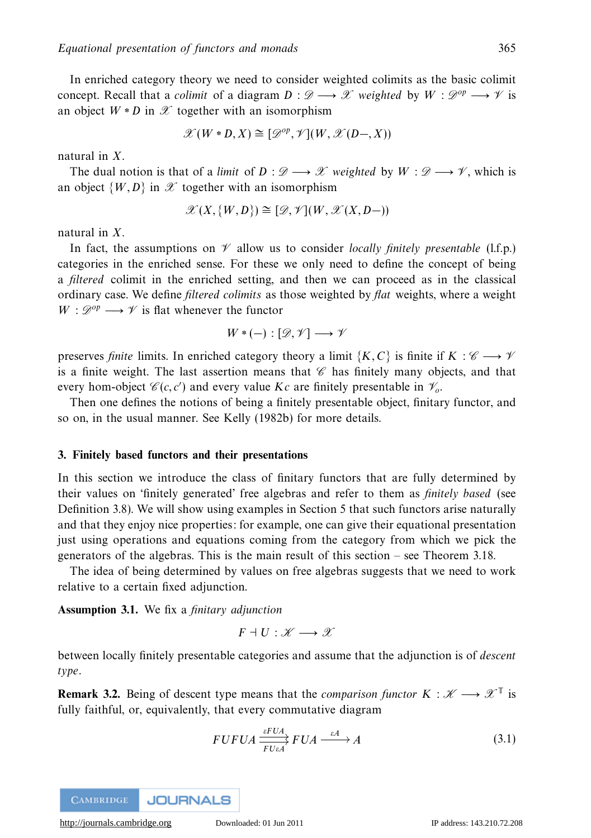In enriched category theory we need to consider weighted colimits as the basic colimit concept. Recall that a *colimit* of a diagram  $D : \mathscr{D} \longrightarrow \mathscr{X}$  weighted by  $W : \mathscr{D}^{op} \longrightarrow \mathscr{V}$  is an object  $W * D$  in  $\mathscr X$  together with an isomorphism

$$
\mathscr{X}(W \ast D, X) \cong [\mathscr{D}^{op}, \mathscr{V}](W, \mathscr{X}(D-, X))
$$

natural in *X*.

The dual notion is that of a limit of  $D : \mathcal{D} \longrightarrow \mathcal{X}$  weighted by  $W : \mathcal{D} \longrightarrow \mathcal{Y}$ , which is an object  $\{W,D\}$  in  $\mathscr X$  together with an isomorphism

$$
\mathscr{X}(X,\{W,D\}) \cong [\mathscr{D},\mathscr{V}](W,\mathscr{X}(X,D-))
$$

natural in *X*.

In fact, the assumptions on  $\mathcal V$  allow us to consider *locally finitely presentable* (1.f.p.) categories in the enriched sense. For these we only need to define the concept of being a filtered colimit in the enriched setting, and then we can proceed as in the classical ordinary case. We define *filtered colimits* as those weighted by *flat* weights, where a weight  $W: \mathscr{D}^{op} \longrightarrow \mathscr{V}$  is flat whenever the functor

$$
W \ast (-): [\mathscr{D}, \mathscr{V}] \longrightarrow \mathscr{V}
$$

preserves *finite* limits. In enriched category theory a limit { $K, C$ } is finite if  $K : \mathscr{C} \longrightarrow \mathscr{V}$ is a finite weight. The last assertion means that  $\mathscr C$  has finitely many objects, and that every hom-object  $\mathscr{C}(c, c')$  and every value *Kc* are finitely presentable in  $\mathscr{V}_o$ .

Then one defines the notions of being a finitely presentable object, finitary functor, and so on, in the usual manner. See Kelly (1982b) for more details.

# **3. Finitely based functors and their presentations**

In this section we introduce the class of finitary functors that are fully determined by their values on 'finitely generated' free algebras and refer to them as finitely based (see Definition 3.8). We will show using examples in Section 5 that such functors arise naturally and that they enjoy nice properties: for example, one can give their equational presentation just using operations and equations coming from the category from which we pick the generators of the algebras. This is the main result of this section – see Theorem 3.18.

The idea of being determined by values on free algebras suggests that we need to work relative to a certain fixed adjunction.

**Assumption 3.1.** We fix a finitary adjunction

$$
F\dashv U:\mathscr K\longrightarrow\mathscr X
$$

between locally finitely presentable categories and assume that the adjunction is of descent type.

**Remark 3.2.** Being of descent type means that the *comparison functor*  $K : \mathscr{K} \longrightarrow \mathscr{K}^{\mathbb{T}}$  is fully faithful, or, equivalently, that every commutative diagram

$$
FUFUA \xrightarrow[FUA]{\varepsilon FUA} FUA \xrightarrow{\varepsilon A} A \tag{3.1}
$$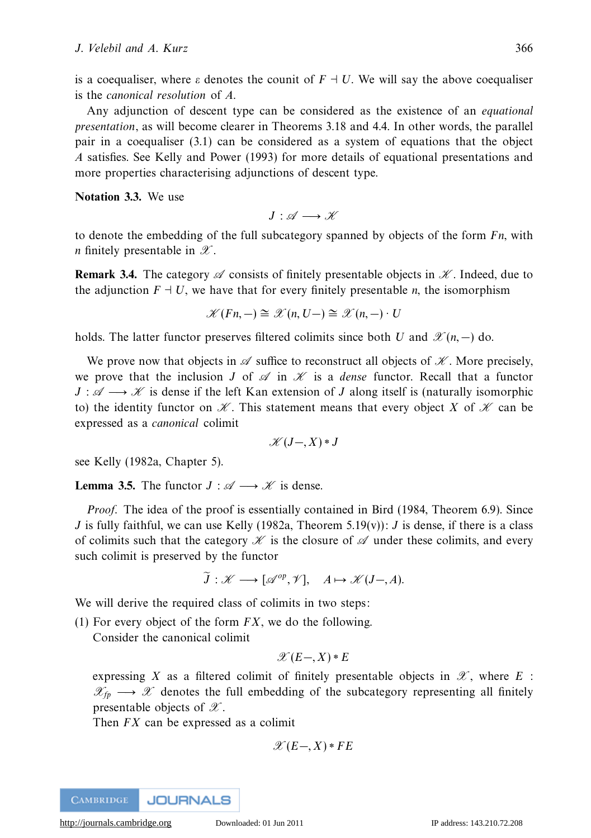is a coequaliser, where *ε* denotes the counit of  $F \dashv U$ . We will say the above coequaliser is the canonical resolution of *A*.

Any adjunction of descent type can be considered as the existence of an equational presentation, as will become clearer in Theorems 3.18 and 4.4. In other words, the parallel pair in a coequaliser (3.1) can be considered as a system of equations that the object *A* satisfies. See Kelly and Power (1993) for more details of equational presentations and more properties characterising adjunctions of descent type.

**Notation 3.3.** We use

 $J: \mathscr{A} \longrightarrow \mathscr{K}$ 

to denote the embedding of the full subcategory spanned by objects of the form *Fn*, with *n* finitely presentable in  $\mathscr{X}$ .

**Remark 3.4.** The category  $\mathscr A$  consists of finitely presentable objects in  $\mathscr K$ . Indeed, due to the adjunction  $F \dashv U$ , we have that for every finitely presentable *n*, the isomorphism

$$
\mathscr{K}(Fn,-) \cong \mathscr{K}(n,U-) \cong \mathscr{K}(n,-) \cdot U
$$

holds. The latter functor preserves filtered colimits since both *U* and  $\mathscr{X}(n, -)$  do.

We prove now that objects in  $\mathscr A$  suffice to reconstruct all objects of  $\mathscr K$ . More precisely, we prove that the inclusion *J* of  $\mathscr A$  in  $\mathscr K$  is a *dense* functor. Recall that a functor  $J : \mathscr{A} \longrightarrow \mathscr{K}$  is dense if the left Kan extension of *J* along itself is (naturally isomorphic to) the identity functor on  $\mathcal K$ . This statement means that every object X of  $\mathcal K$  can be expressed as a canonical colimit

$$
\mathscr{K}(J-,X) * J
$$

see Kelly (1982a, Chapter 5).

**Lemma 3.5.** The functor  $J : \mathcal{A} \longrightarrow \mathcal{K}$  is dense.

Proof. The idea of the proof is essentially contained in Bird (1984, Theorem 6.9). Since *J* is fully faithful, we can use Kelly (1982a, Theorem 5.19(v)): *J* is dense, if there is a class of colimits such that the category  $\mathscr K$  is the closure of  $\mathscr A$  under these colimits, and every such colimit is preserved by the functor

$$
\widetilde{J}: \mathscr{K} \longrightarrow [\mathscr{A}^{op}, \mathscr{V}], \quad A \mapsto \mathscr{K}(J-, A).
$$

We will derive the required class of colimits in two steps:

(1) For every object of the form *FX*, we do the following.

Consider the canonical colimit

$$
\mathscr{X}(E-,X)\ast E
$$

expressing *X* as a filtered colimit of finitely presentable objects in  $\mathscr{X}$ , where *E* :  $\mathcal{X}_{fp} \longrightarrow \mathcal{X}$  denotes the full embedding of the subcategory representing all finitely presentable objects of  $\mathscr X$ .

Then *FX* can be expressed as a colimit

$$
\mathscr{X}(E-,X)\ast FE
$$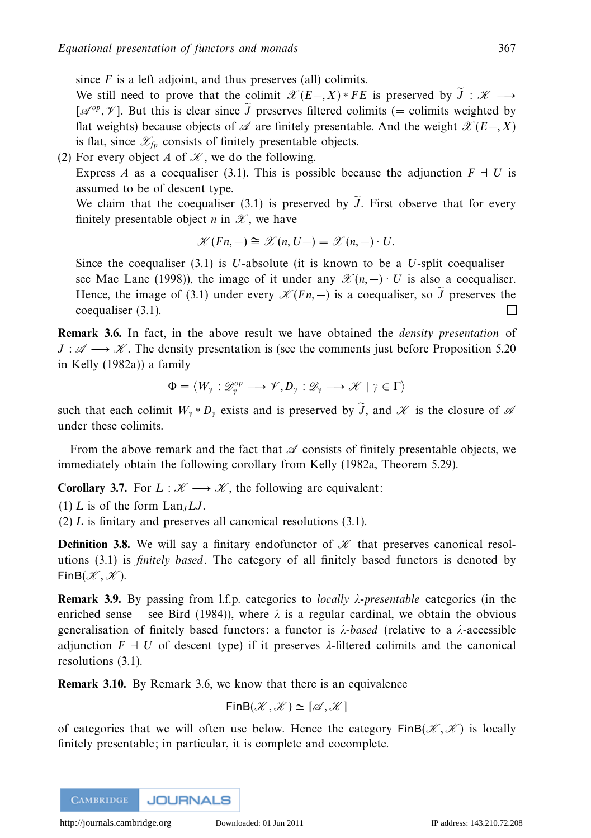since  $F$  is a left adjoint, and thus preserves (all) colimits.

We still need to prove that the colimit  $\mathscr{X}(E-,X) * FE$  is preserved by  $J : \mathscr{K} \longrightarrow$  $[\mathscr{A}^{op}, \mathscr{V}]$ . But this is clear since *J* preserves filtered colimits (= colimits weighted by flat weights) because objects of  $\mathscr A$  are finitely presentable. And the weight  $\mathscr X(E-X)$ is flat, since  $\mathscr{X}_{fp}$  consists of finitely presentable objects.

(2) For every object *A* of  $\mathcal{K}$ , we do the following.

Express *A* as a coequaliser (3.1). This is possible because the adjunction  $F \dashv U$  is assumed to be of descent type.

We claim that the coequaliser (3.1) is preserved by *J* . First observe that for every finitely presentable object *n* in  $\mathscr X$ , we have

$$
\mathscr{K}(Fn,-) \cong \mathscr{K}(n,U-) = \mathscr{K}(n,-) \cdot U.
$$

Since the coequaliser  $(3.1)$  is *U*-absolute (it is known to be a *U*-split coequaliser – see Mac Lane (1998)), the image of it under any  $\mathscr{X}(n, -) \cdot U$  is also a coequaliser. Hence, the image of (3.1) under every  $\mathcal{K}(Fn, -)$  is a coequaliser, so *J* preserves the coequaliser (3.1).

**Remark 3.6.** In fact, in the above result we have obtained the *density presentation* of  $J : \mathscr{A} \longrightarrow \mathscr{K}$ . The density presentation is (see the comments just before Proposition 5.20) in Kelly (1982a)) a family

$$
\Phi=\langle W_\gamma:\mathscr{D}_\gamma^{op}\longrightarrow \mathscr{V}, D_\gamma:\mathscr{D}_\gamma\longrightarrow \mathscr{K}\mid \gamma\in \Gamma\rangle
$$

such that each colimit  $W_{\gamma} * D_{\gamma}$  exists and is preserved by *J*, and  $\mathscr K$  is the closure of  $\mathscr A$ under these colimits.

From the above remark and the fact that  $\mathscr A$  consists of finitely presentable objects, we immediately obtain the following corollary from Kelly (1982a, Theorem 5.29).

**Corollary 3.7.** For  $L : \mathcal{K} \longrightarrow \mathcal{K}$ , the following are equivalent:

 $(1)$  *L* is of the form  $\text{Lan}_I L J$ .

(2) *L* is finitary and preserves all canonical resolutions (3.1).

**Definition 3.8.** We will say a finitary endofunctor of  $K$  that preserves canonical resolutions  $(3.1)$  is *finitely based*. The category of all finitely based functors is denoted by  $FinB(K, K)$ .

**Remark 3.9.** By passing from l.f.p. categories to locally *λ*-presentable categories (in the enriched sense – see Bird (1984)), where  $\lambda$  is a regular cardinal, we obtain the obvious generalisation of finitely based functors: a functor is *λ*-based (relative to a *λ*-accessible adjunction  $F \dashv U$  of descent type) if it preserves  $\lambda$ -filtered colimits and the canonical resolutions (3.1).

**Remark 3.10.** By Remark 3.6, we know that there is an equivalence

 $FinB(\mathscr{K},\mathscr{K})\simeq [\mathscr{A},\mathscr{K}]$ 

of categories that we will often use below. Hence the category  $\text{FinB}(\mathcal{K}, \mathcal{K})$  is locally finitely presentable; in particular, it is complete and cocomplete.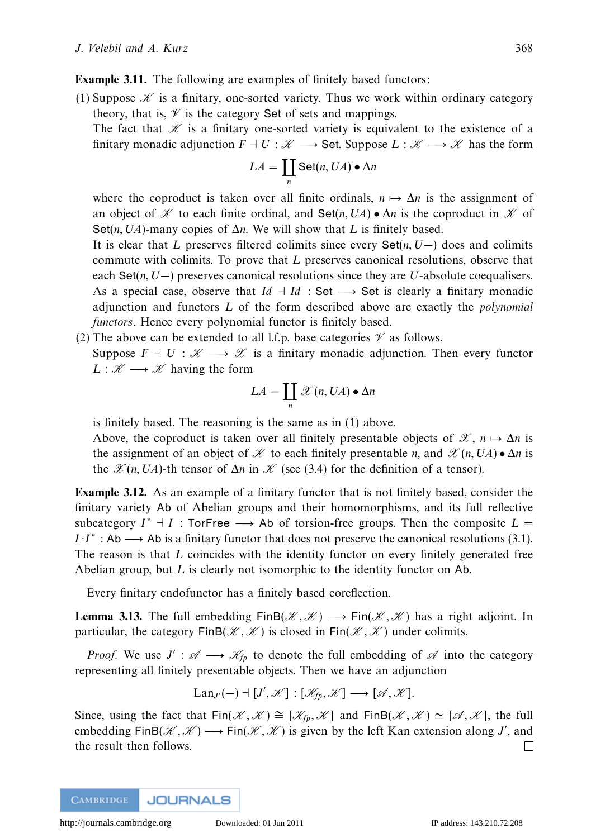**Example 3.11.** The following are examples of finitely based functors:

(1) Suppose  $\mathscr K$  is a finitary, one-sorted variety. Thus we work within ordinary category theory, that is,  $\mathcal V$  is the category Set of sets and mappings.

The fact that  $\mathscr K$  is a finitary one-sorted variety is equivalent to the existence of a finitary monadic adjunction  $F \dashv U : \mathscr{K} \longrightarrow$  Set. Suppose  $L : \mathscr{K} \longrightarrow \mathscr{K}$  has the form

$$
LA = \coprod_{n} \text{Set}(n, UA) \bullet \Delta n
$$

where the coproduct is taken over all finite ordinals,  $n \mapsto \Delta n$  is the assignment of an object of X to each finite ordinal, and Set(*n*,  $UA$ ) •  $\Delta n$  is the coproduct in X of Set(*n, UA*)-many copies of ∆*n*. We will show that *L* is finitely based.

It is clear that *L* preserves filtered colimits since every Set(*n, U*−) does and colimits commute with colimits. To prove that *L* preserves canonical resolutions, observe that each Set(*n, U*−) preserves canonical resolutions since they are *U*-absolute coequalisers. As a special case, observe that  $Id \dashv Id$  : Set  $\longrightarrow$  Set is clearly a finitary monadic adjunction and functors *L* of the form described above are exactly the polynomial functors. Hence every polynomial functor is finitely based.

(2) The above can be extended to all l.f.p. base categories  $\mathcal V$  as follows. Suppose  $F \dashv U : \mathscr{K} \longrightarrow \mathscr{X}$  is a finitary monadic adjunction. Then every functor  $L : \mathscr{K} \longrightarrow \mathscr{K}$  having the form

$$
LA = \coprod_n \mathscr{X}(n, UA) \bullet \Delta n
$$

is finitely based. The reasoning is the same as in (1) above.

Above, the coproduct is taken over all finitely presentable objects of  $\mathscr{X}, n \mapsto \Delta n$  is the assignment of an object of  $\mathcal K$  to each finitely presentable *n*, and  $\mathcal X(n, UA) \bullet \Delta n$  is the  $\mathscr{X}(n, UA)$ -th tensor of  $\Delta n$  in  $\mathscr{K}$  (see (3.4) for the definition of a tensor).

**Example 3.12.** As an example of a finitary functor that is not finitely based, consider the finitary variety Ab of Abelian groups and their homomorphisms, and its full reflective subcategory  $I^* \dashv I$ : TorFree  $\longrightarrow$  Ab of torsion-free groups. Then the composite  $L =$  $I \cdot I^*$ : Ab  $\longrightarrow$  Ab is a finitary functor that does not preserve the canonical resolutions (3.1). The reason is that *L* coincides with the identity functor on every finitely generated free Abelian group, but *L* is clearly not isomorphic to the identity functor on Ab.

Every finitary endofunctor has a finitely based coreflection.

**Lemma 3.13.** The full embedding  $\text{FinB}(\mathcal{K}, \mathcal{K}) \longrightarrow \text{Fin}(\mathcal{K}, \mathcal{K})$  has a right adjoint. In particular, the category  $\text{FinB}(\mathcal{K}, \mathcal{K})$  is closed in  $\text{Fin}(\mathcal{K}, \mathcal{K})$  under colimits.

*Proof.* We use  $J' : \mathcal{A} \longrightarrow \mathcal{K}_{fp}$  to denote the full embedding of  $\mathcal{A}$  into the category representing all finitely presentable objects. Then we have an adjunction

$$
Lan_{J'}(-) \dashv [J', \mathscr{K}] : [\mathscr{K}_{fp}, \mathscr{K}] \longrightarrow [\mathscr{A}, \mathscr{K}].
$$

Since, using the fact that Fin( $\mathscr{K}, \mathscr{K} \cong [\mathscr{K}_{fp}, \mathscr{K}]$  and FinB( $\mathscr{K}, \mathscr{K} \cong [\mathscr{A}, \mathscr{K}]$ , the full embedding FinB( $\mathscr{K}, \mathscr{K}$ )  $\longrightarrow$  Fin( $\mathscr{K}, \mathscr{K}$ ) is given by the left Kan extension along *J'*, and the result then follows. $\perp$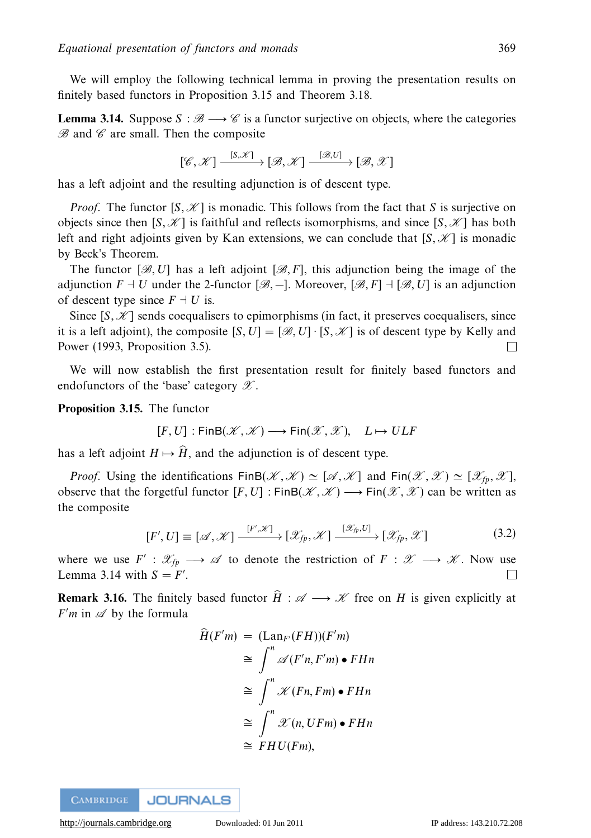We will employ the following technical lemma in proving the presentation results on finitely based functors in Proposition 3.15 and Theorem 3.18.

**Lemma 3.14.** Suppose  $S : \mathcal{B} \longrightarrow \mathcal{C}$  is a functor surjective on objects, where the categories  $B$  and  $C$  are small. Then the composite

$$
[\mathscr{C},\mathscr{K}] \xrightarrow{[S,\mathscr{K}]} [\mathscr{B},\mathscr{K}] \xrightarrow{[\mathscr{B},U]} [\mathscr{B},\mathscr{K}]
$$

has a left adjoint and the resulting adjunction is of descent type.

*Proof.* The functor  $[S, \mathcal{K}]$  is monadic. This follows from the fact that *S* is surjective on objects since then  $[S, \mathcal{K}]$  is faithful and reflects isomorphisms, and since  $[S, \mathcal{K}]$  has both left and right adjoints given by Kan extensions, we can conclude that  $[S, \mathcal{K}]$  is monadic by Beck's Theorem.

The functor  $[\mathcal{B}, U]$  has a left adjoint  $[\mathcal{B}, F]$ , this adjunction being the image of the adjunction  $F \dashv U$  under the 2-functor  $[\mathscr{B},\text{-}]$ . Moreover,  $[\mathscr{B},F] \dashv [\mathscr{B},U]$  is an adjunction of descent type since  $F \dashv U$  is.

Since  $[S, \mathcal{K}]$  sends coequalisers to epimorphisms (in fact, it preserves coequalisers, since it is a left adjoint), the composite  $[S, U] = [\mathcal{B}, U] \cdot [S, \mathcal{K}]$  is of descent type by Kelly and Power (1993, Proposition 3.5). П

We will now establish the first presentation result for finitely based functors and endofunctors of the 'base' category  $\mathscr X$ .

**Proposition 3.15.** The functor

$$
[F, U] : \mathsf{FinB}(\mathscr{K}, \mathscr{K}) \longrightarrow \mathsf{Fin}(\mathscr{K}, \mathscr{K}), \quad L \mapsto ULF
$$

has a left adjoint  $H \mapsto \widehat{H}$ , and the adjunction is of descent type.

*Proof.* Using the identifications  $\text{FinB}(\mathcal{K}, \mathcal{K}) \simeq [\mathcal{A}, \mathcal{K}]$  and  $\text{Fin}(\mathcal{K}, \mathcal{K}) \simeq [\mathcal{K}_m, \mathcal{K}],$ observe that the forgetful functor  $[F, U] : \text{FinB}(\mathcal{K}, \mathcal{K}) \longrightarrow \text{Fin}(\mathcal{X}, \mathcal{X})$  can be written as the composite

$$
[F', U] \equiv [\mathcal{A}, \mathcal{K}] \xrightarrow{[F', \mathcal{K}]} [\mathcal{X}_{fp}, \mathcal{K}] \xrightarrow{[\mathcal{X}_{fp}, U]} [\mathcal{X}_{fp}, \mathcal{X}]
$$
\n(3.2)

where we use  $F' : \mathcal{X}_{f_p} \longrightarrow \mathcal{A}$  to denote the restriction of  $F : \mathcal{X} \longrightarrow \mathcal{X}$ . Now use Lemma 3.14 with  $S = F'$ . П

**Remark 3.16.** The finitely based functor  $\hat{H}: \mathscr{A} \longrightarrow \mathscr{K}$  free on *H* is given explicitly at *F'm* in  $\mathscr A$  by the formula

$$
\widehat{H}(F'm) = (\text{Lan}_{F'}(FH))(F'm)
$$
\n
$$
\cong \int^n \mathscr{A}(F'n, F'm) \bullet FHn
$$
\n
$$
\cong \int^n \mathscr{K}(Fn, Fm) \bullet FHn
$$
\n
$$
\cong \int^n \mathscr{K}(n, UFm) \bullet FHn
$$
\n
$$
\cong FHU(Fm),
$$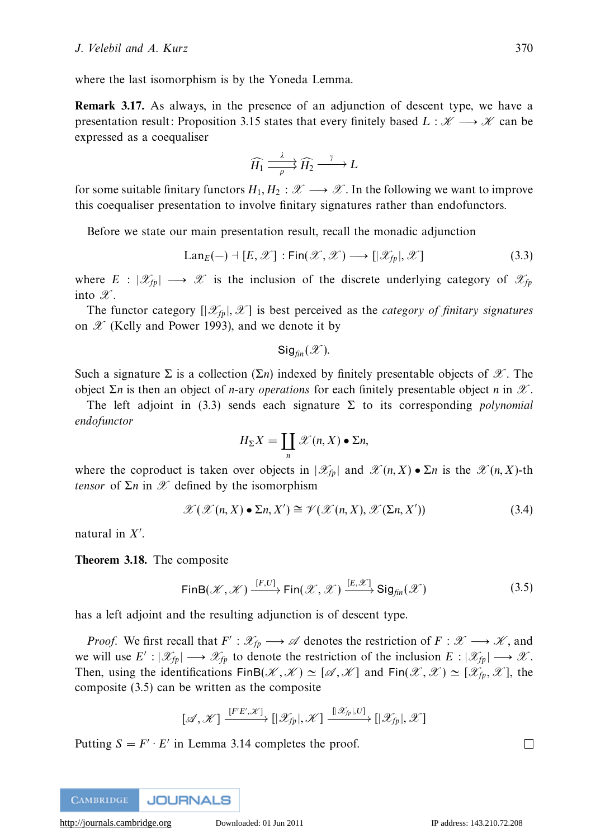where the last isomorphism is by the Yoneda Lemma.

**Remark 3.17.** As always, in the presence of an adjunction of descent type, we have a presentation result: Proposition 3.15 states that every finitely based  $L : \mathcal{K} \longrightarrow \mathcal{K}$  can be expressed as a coequaliser

$$
\widehat{H_1} \xrightarrow{\lambda} \widehat{H_2} \xrightarrow{\gamma} L
$$

for some suitable finitary functors  $H_1, H_2 : \mathscr{X} \longrightarrow \mathscr{X}$ . In the following we want to improve this coequaliser presentation to involve finitary signatures rather than endofunctors.

Before we state our main presentation result, recall the monadic adjunction

$$
\text{Lan}_E(-) \dashv [E, \mathcal{X}] : \text{Fin}(\mathcal{X}, \mathcal{X}) \longrightarrow [|\mathcal{X}_{fp}|, \mathcal{X}]
$$
\n(3.3)

where  $E : |\mathcal{X}_{f_p}| \longrightarrow \mathcal{X}$  is the inclusion of the discrete underlying category of  $\mathcal{X}_{f_p}$ into  $\mathscr X$ .

The functor category  $[|\mathcal{X}_p|, \mathcal{X}]$  is best perceived as the *category of finitary signatures* on  $\mathscr X$  (Kelly and Power 1993), and we denote it by

 $Sig_{fin}(\mathscr{X})$ .

Such a signature  $\Sigma$  is a collection  $(\Sigma n)$  indexed by finitely presentable objects of  $\mathscr{X}$ . The object Σ*n* is then an object of *n*-ary *operations* for each finitely presentable object *n* in  $X$ .

The left adjoint in (3.3) sends each signature  $\Sigma$  to its corresponding *polynomial* endofunctor

$$
H_{\Sigma}X=\coprod_{n}\mathscr{X}(n,X)\bullet\Sigma n,
$$

where the coproduct is taken over objects in  $|\mathscr{X}_{n}|$  and  $\mathscr{X}(n, X) \bullet \Sigma n$  is the  $\mathscr{X}(n, X)$ -th *tensor* of  $\Sigma n$  in  $\mathscr X$  defined by the isomorphism

$$
\mathcal{X}(\mathcal{X}(n,X)\bullet \Sigma n, X') \cong \mathcal{V}(\mathcal{X}(n,X), \mathcal{X}(\Sigma n, X')) \tag{3.4}
$$

natural in *X* .

**Theorem 3.18.** The composite

$$
\mathsf{FinB}(\mathscr{K}, \mathscr{K}) \xrightarrow{[F,U]} \mathsf{Fin}(\mathscr{X}, \mathscr{X}) \xrightarrow{[E, \mathscr{X}]} \mathsf{Sig}_{fin}(\mathscr{X})
$$
\n(3.5)

has a left adjoint and the resulting adjunction is of descent type.

*Proof.* We first recall that  $F': \mathcal{X}_{fp} \longrightarrow \mathcal{A}$  denotes the restriction of  $F: \mathcal{X} \longrightarrow \mathcal{X}$ , and we will use  $E' : |\mathcal{X}_{f_p}| \longrightarrow \mathcal{X}_{f_p}$  to denote the restriction of the inclusion  $E : |\mathcal{X}_{f_p}| \longrightarrow \mathcal{X}$ . Then, using the identifications  $\text{FinB}(\mathcal{X}, \mathcal{X}) \simeq [\mathcal{A}, \mathcal{X}]$  and  $\text{Fin}(\mathcal{X}, \mathcal{X}) \simeq [\mathcal{X}_p, \mathcal{X}]$ , the composite (3.5) can be written as the composite

$$
[\mathscr{A}, \mathscr{K}] \xrightarrow{[F'E', \mathscr{K}]} [\mathscr{X}_{fp}], \mathscr{K}] \xrightarrow{[[\mathscr{X}_{fp}], U]} [\mathscr{X}_{fp}], \mathscr{K}]
$$

Putting  $S = F' \cdot E'$  in Lemma 3.14 completes the proof.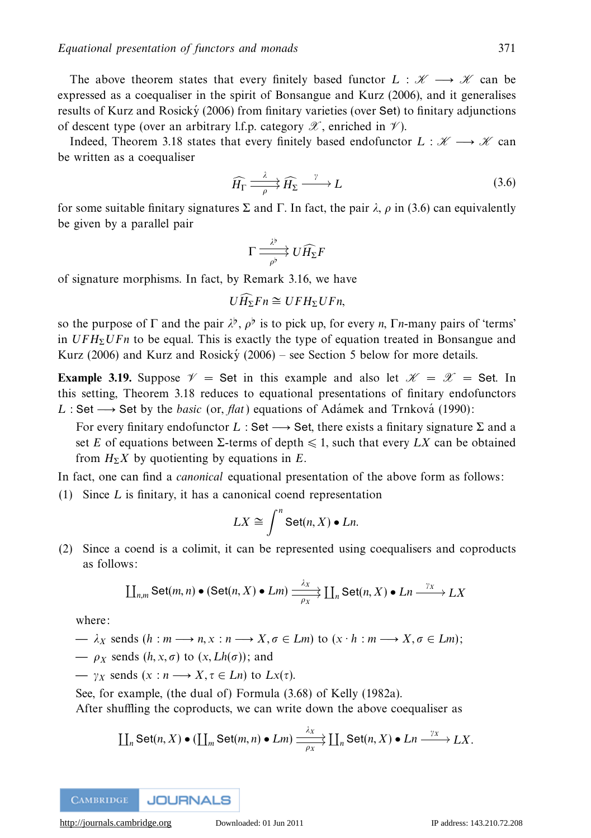The above theorem states that every finitely based functor  $L : \mathcal{K} \longrightarrow \mathcal{K}$  can be expressed as a coequaliser in the spirit of Bonsangue and Kurz (2006), and it generalises

results of Kurz and Rosicky  $(2006)$  from finitary varieties (over Set) to finitary adjunctions of descent type (over an arbitrary l.f.p. category  $\mathscr X$ , enriched in  $\mathscr V$ ).

Indeed, Theorem 3.18 states that every finitely based endofunctor  $L : \mathcal{K} \longrightarrow \mathcal{K}$  can be written as a coequaliser

$$
\widehat{H_{\Gamma}} \xrightarrow{\lambda} \widehat{H_{\Sigma}} \xrightarrow{\gamma} L \tag{3.6}
$$

for some suitable finitary signatures  $\Sigma$  and  $\Gamma$ . In fact, the pair  $\lambda$ ,  $\rho$  in (3.6) can equivalently be given by a parallel pair

$$
\Gamma \longrightarrow^{\lambda^{\flat}} U \widehat{H_{\Sigma}} F
$$

of signature morphisms. In fact, by Remark 3.16, we have

$$
U\widehat{H_{\Sigma}}Fn \cong UFH_{\Sigma}UFn,
$$

so the purpose of  $\Gamma$  and the pair  $\lambda^{\flat}$ ,  $\rho^{\flat}$  is to pick up, for every *n*,  $\Gamma$ *n*-many pairs of 'terms' in  $UFH<sub>2</sub>UFn$  to be equal. This is exactly the type of equation treated in Bonsangue and Kurz (2006) and Kurz and Rosický (2006) – see Section 5 below for more details.

**Example 3.19.** Suppose  $\mathcal{V} =$  Set in this example and also let  $\mathcal{K} = \mathcal{X} =$  Set. In this setting, Theorem 3.18 reduces to equational presentations of finitary endofunctors *L* : Set  $\rightarrow$  Set by the *basic* (or, *flat*) equations of Adamek and Trnkova<sup> $\alpha$ </sup> (1990):

For every finitary endofunctor *L* : Set → Set, there exists a finitary signature Σ and a set *E* of equations between  $\Sigma$ -terms of depth  $\leq 1$ , such that every *LX* can be obtained from  $H_{\Sigma}X$  by quotienting by equations in *E*.

In fact, one can find a canonical equational presentation of the above form as follows:

(1) Since *L* is finitary, it has a canonical coend representation

$$
LX \cong \int^n \text{Set}(n, X) \bullet Ln.
$$

(2) Since a coend is a colimit, it can be represented using coequalisers and coproducts as follows:

$$
\coprod_{n,m} \text{Set}(m,n) \bullet (\text{Set}(n,X) \bullet Lm) \xrightarrow[\rho_X]{\lambda_X} \coprod_n \text{Set}(n,X) \bullet Ln \xrightarrow{\gamma_X} LX
$$

where:

$$
- \lambda_X \text{ sends } (h : m \longrightarrow n, x : n \longrightarrow X, \sigma \in Lm) \text{ to } (x \cdot h : m \longrightarrow X, \sigma \in Lm);
$$

- $\rightarrow \rho_X$  sends  $(h, x, \sigma)$  to  $(x, Lh(\sigma))$ ; and
- $\longrightarrow$  *γx* sends (*x* : *n*  $\longrightarrow$  *X*,  $\tau \in$  *Ln*) to *Lx*( $\tau$ ).

See, for example, (the dual of) Formula (3.68) of Kelly (1982a).

After shuffling the coproducts, we can write down the above coequaliser as

$$
\coprod_n \text{Set}(n, X) \bullet (\coprod_m \text{Set}(m, n) \bullet Lm) \xrightarrow{\lambda_X} \coprod_n \text{Set}(n, X) \bullet Ln \xrightarrow{\gamma_X} LX.
$$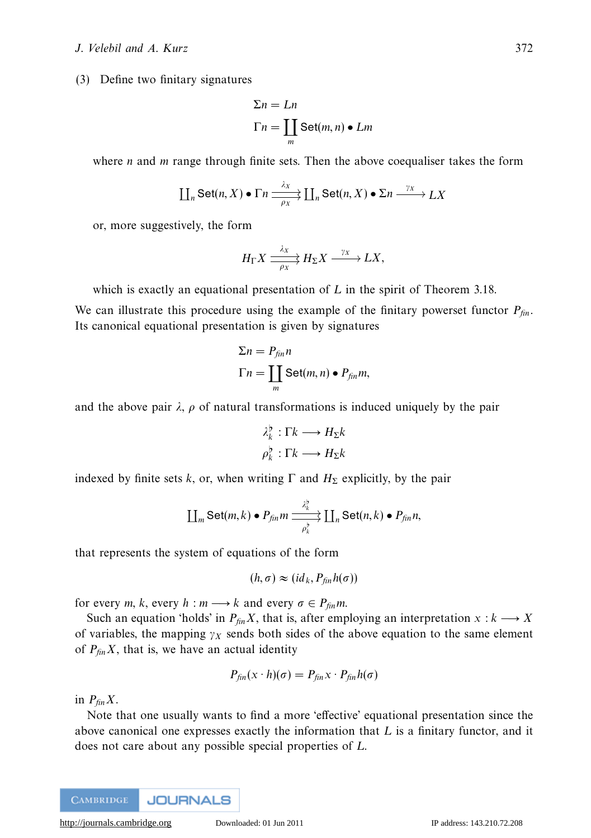# J. Velebil and A. Kurz 372

(3) Define two finitary signatures

$$
\Sigma n = Ln
$$
  
\n
$$
\Gamma n = \coprod_{m} \text{Set}(m, n) \bullet Lm
$$

where *n* and *m* range through finite sets. Then the above coequaliser takes the form

$$
\coprod_n \text{Set}(n, X) \bullet \Gamma n \xrightarrow[\rho_X]{\lambda_X} \coprod_n \text{Set}(n, X) \bullet \Sigma n \xrightarrow{\gamma_X} LX
$$

or, more suggestively, the form

$$
H_{\Gamma} X \xrightarrow[\rho_X]{} H_{\Sigma} X \xrightarrow{\gamma_X} LX,
$$

which is exactly an equational presentation of *L* in the spirit of Theorem 3.18.

We can illustrate this procedure using the example of the finitary powerset functor  $P_{fin}$ . Its canonical equational presentation is given by signatures

$$
\Sigma n = P_{fin} n
$$
  
\n
$$
\Gamma n = \coprod_{m} \text{Set}(m, n) \bullet P_{fin} m,
$$

and the above pair  $\lambda$ ,  $\rho$  of natural transformations is induced uniquely by the pair

$$
\lambda_k^{\flat} : \Gamma k \longrightarrow H_{\Sigma} k
$$

$$
\rho_k^{\flat} : \Gamma k \longrightarrow H_{\Sigma} k
$$

indexed by finite sets *k*, or, when writing  $\Gamma$  and  $H_{\Sigma}$  explicitly, by the pair

$$
\coprod_m \text{Set}(m,k) \bullet P_{fin}m \xrightarrow{\lambda_k^b} \coprod_n \text{Set}(n,k) \bullet P_{fin}n,
$$

that represents the system of equations of the form

$$
(h,\sigma) \approx (id_k, P_{fin}h(\sigma))
$$

for every *m*, *k*, every *h* : *m* → *k* and every  $\sigma \in P_{fin}m$ .

Such an equation 'holds' in  $P_{fin}X$ , that is, after employing an interpretation  $x : k \longrightarrow X$ of variables, the mapping  $\gamma_X$  sends both sides of the above equation to the same element of  $P_{fin}X$ , that is, we have an actual identity

$$
P_{fin}(x \cdot h)(\sigma) = P_{fin}x \cdot P_{fin}h(\sigma)
$$

in  $P_{fin}X$ .

Note that one usually wants to find a more 'effective' equational presentation since the above canonical one expresses exactly the information that *L* is a finitary functor, and it does not care about any possible special properties of *L*.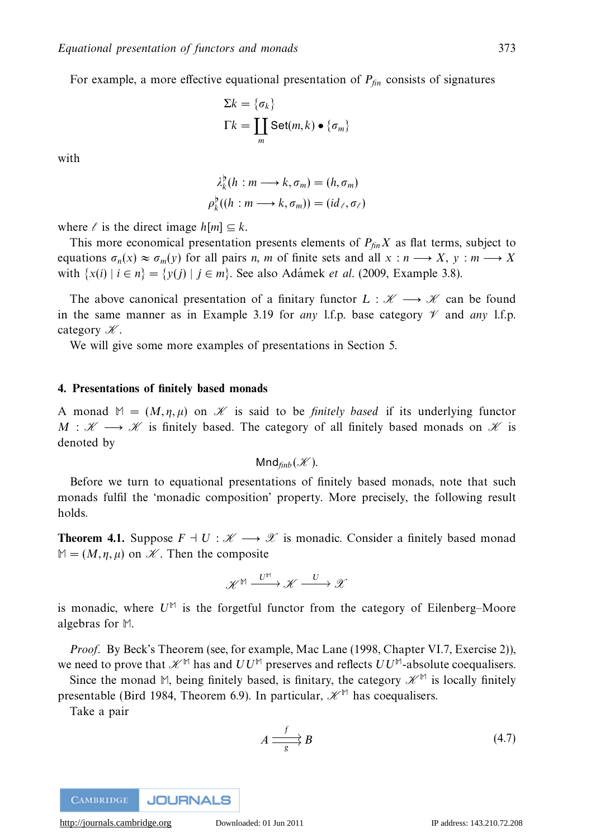For example, a more effective equational presentation of  $P_{fin}$  consists of signatures

$$
\Sigma k = \{\sigma_k\}
$$
  
\n
$$
\Gamma k = \coprod_m \text{Set}(m, k) \bullet \{\sigma_m\}
$$

with

$$
\lambda_k^{\flat}(h : m \longrightarrow k, \sigma_m) = (h, \sigma_m)
$$
  

$$
\rho_k^{\flat}((h : m \longrightarrow k, \sigma_m)) = (id_{\ell}, \sigma_{\ell})
$$

where  $\ell$  is the direct image  $h[m] \subseteq k$ .

This more economical presentation presents elements of  $P_{fin}X$  as flat terms, subject to equations  $\sigma_n(x) \approx \sigma_m(y)$  for all pairs *n*, *m* of finite sets and all  $x : n \longrightarrow X$ ,  $y : m \longrightarrow X$ with  $\{x(i) \mid i \in n\} = \{y(j) \mid j \in m\}$ . See also Adamek *et al.* (2009, Example 3.8).

The above canonical presentation of a finitary functor  $L : \mathcal{K} \longrightarrow \mathcal{K}$  can be found in the same manner as in Example 3.19 for *any* 1.f.p. base category  $\mathcal V$  and *any* 1.f.p. category  $\mathscr K$ .

We will give some more examples of presentations in Section 5.

### **4. Presentations of finitely based monads**

A monad  $M = (M, \eta, \mu)$  on  $\mathcal K$  is said to be *finitely based* if its underlying functor *M* :  $\mathcal{H} \longrightarrow \mathcal{K}$  is finitely based. The category of all finitely based monads on  $\mathcal{K}$  is denoted by

$$
Mnd_{finb}(\mathscr{K}).
$$

Before we turn to equational presentations of finitely based monads, note that such monads fulfil the 'monadic composition' property. More precisely, the following result holds.

**Theorem 4.1.** Suppose  $F \dashv U : \mathscr{K} \longrightarrow \mathscr{X}$  is monadic. Consider a finitely based monad  $M = (M, \eta, \mu)$  on  $\mathcal{K}$ . Then the composite

$$
\mathscr{K}^{\mathbb{M}} \xrightarrow{U^{\mathbb{M}}} \mathscr{K} \xrightarrow{U} \mathscr{X}
$$

is monadic, where  $U^{\mathbb{M}}$  is the forgetful functor from the category of Eilenberg–Moore algebras for **M**.

Proof. By Beck's Theorem (see, for example, Mac Lane (1998, Chapter VI.7, Exercise 2)), we need to prove that  $\mathcal{H}^{\mathbb{M}}$  has and  $UU^{\mathbb{M}}$  preserves and reflects  $UU^{\mathbb{M}}$ -absolute coequalisers.

Since the monad M, being finitely based, is finitary, the category  $\mathscr{K}^{\mathbb{M}}$  is locally finitely presentable (Bird 1984, Theorem 6.9). In particular,  $\mathcal{K}^{\mathbb{M}}$  has coequalisers.

Take a pair

$$
A \xrightarrow{f} B \tag{4.7}
$$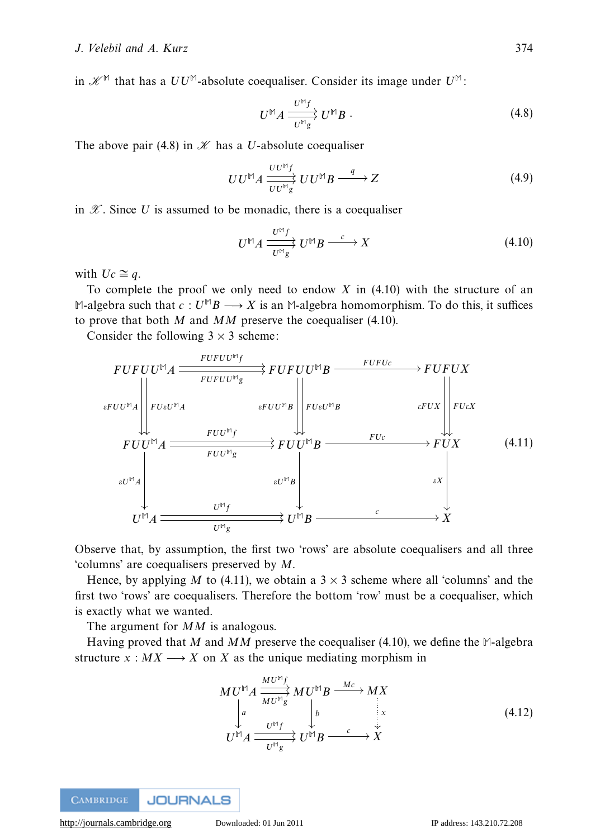in  $\mathcal{K}^{\mathbb{M}}$  that has a  $UU^{\mathbb{M}}$ -absolute coequaliser. Consider its image under  $U^{\mathbb{M}}$ :

$$
U^{\mathbb{M}}A \xrightarrow{U^{\mathbb{M}}f} U^{\mathbb{M}}B \tag{4.8}
$$

The above pair (4.8) in  $K$  has a *U*-absolute coequaliser

$$
UU^{\mathbb{M}}A \xrightarrow[UU^{\mathbb{M}}g] UU^{\mathbb{M}}B \xrightarrow{q} Z \tag{4.9}
$$

in  $\mathscr X$ . Since U is assumed to be monadic, there is a coequaliser

$$
U^{\mathbb{M}}A \xrightarrow{U^{\mathbb{M}}f} U^{\mathbb{M}}B \xrightarrow{c} X \tag{4.10}
$$

with  $Uc \cong q$ .

To complete the proof we only need to endow *X* in (4.10) with the structure of an  $\mathbb{M}\text{-algebra such that } c: U^{\mathbb{M}}B \longrightarrow X$  is an  $\mathbb{M}\text{-algebra homomorphism. To do this, it suffices.}$ to prove that both *M* and *MM* preserve the coequaliser (4.10).

Consider the following  $3 \times 3$  scheme:

$$
FUFUU^{\mathbb{M}}A \xrightarrow{\qquad FUFUU^{\mathbb{M}}g} FUFUU^{\mathbb{M}}B \xrightarrow{\qquad FUFUU} FUX
$$
\n
$$
{}_{\varepsilon FUU^{\mathbb{M}}A} \xrightarrow{\qquad \qquad \varepsilon FUU^{\mathbb{M}}g} \xrightarrow{\qquad \qquad FU\varepsilon U^{\mathbb{M}}B} \xrightarrow{\qquad \qquad FU\varepsilon V^{\mathbb{M}}B} \xrightarrow{\qquad \qquad \varepsilon FUX} \xrightarrow{\qquad \qquad \varepsilon FUX} FUU^{\mathbb{M}}A \xrightarrow{\qquad \qquad FUU^{\mathbb{M}}g} FUU^{\mathbb{M}}B \xrightarrow{\qquad \qquad FUc} \xrightarrow{\qquad \qquad \varepsilon V} FUX \xrightarrow{\qquad \qquad \varepsilon V^{\mathbb{M}}A} \xrightarrow{\qquad \qquad \varepsilon U^{\mathbb{M}}B} \xrightarrow{\qquad \qquad \varepsilon X} \xrightarrow{\qquad \qquad \varepsilon X} \xrightarrow{\qquad \qquad \varepsilon X} \xrightarrow{\qquad \qquad \varepsilon Y} \xrightarrow{\qquad \qquad \varepsilon Y} \xrightarrow{\qquad \qquad \varepsilon Y} \xrightarrow{\qquad \qquad \varepsilon Y} \xrightarrow{\qquad \qquad \varepsilon Y} \xrightarrow{\qquad \qquad \varepsilon Y} \xrightarrow{\qquad \qquad \varepsilon Y} \xrightarrow{\qquad \qquad \varepsilon Y} \xrightarrow{\qquad \qquad \varepsilon Y} \xrightarrow{\qquad \qquad \varepsilon Y} \xrightarrow{\qquad \qquad \varepsilon Y} \xrightarrow{\qquad \qquad \varepsilon Y} \xrightarrow{\qquad \qquad \varepsilon Y} \xrightarrow{\qquad \qquad \varepsilon Y} \xrightarrow{\qquad \qquad \varepsilon Y} \xrightarrow{\qquad \qquad \varepsilon Y} \xrightarrow{\qquad \qquad \varepsilon Y} \xrightarrow{\qquad \qquad \varepsilon Y} \xrightarrow{\qquad \qquad \varepsilon Y} \xrightarrow{\qquad \qquad \varepsilon Y} \xrightarrow{\qquad \qquad \varepsilon Y} \xrightarrow{\qquad \qquad \varepsilon Y} \xrightarrow{\qquad \qquad \varepsilon Y} \xrightarrow{\qquad \qquad \varepsilon Y} \xrightarrow{\qquad \qquad \varepsilon Y} \xrightarrow{\qquad \qquad \varepsilon Y} \xrightarrow{\qquad \varepsilon
$$

Observe that, by assumption, the first two 'rows' are absolute coequalisers and all three 'columns' are coequalisers preserved by *M*.

Hence, by applying *M* to (4.11), we obtain a  $3 \times 3$  scheme where all 'columns' and the first two 'rows' are coequalisers. Therefore the bottom 'row' must be a coequaliser, which is exactly what we wanted.

The argument for *MM* is analogous.

Having proved that *M* and *MM* preserve the coequaliser (4.10), we define the **M**-algebra structure  $x : MX \longrightarrow X$  on *X* as the unique mediating morphism in

$$
MU^{\mathbb{M}}A \xrightarrow[MU^{\mathbb{M}}g]{MU^{\mathbb{M}}f} MU^{\mathbb{M}}B \xrightarrow[M]{} MX
$$
\n
$$
\downarrow a
$$
\n
$$
U^{\mathbb{M}}A \xrightarrow[U^{\mathbb{M}}g]{} U^{\mathbb{M}}B \xrightarrow[c]{} C \xrightarrow[\downarrow]{\downarrow}{} X
$$
\n
$$
(4.12)
$$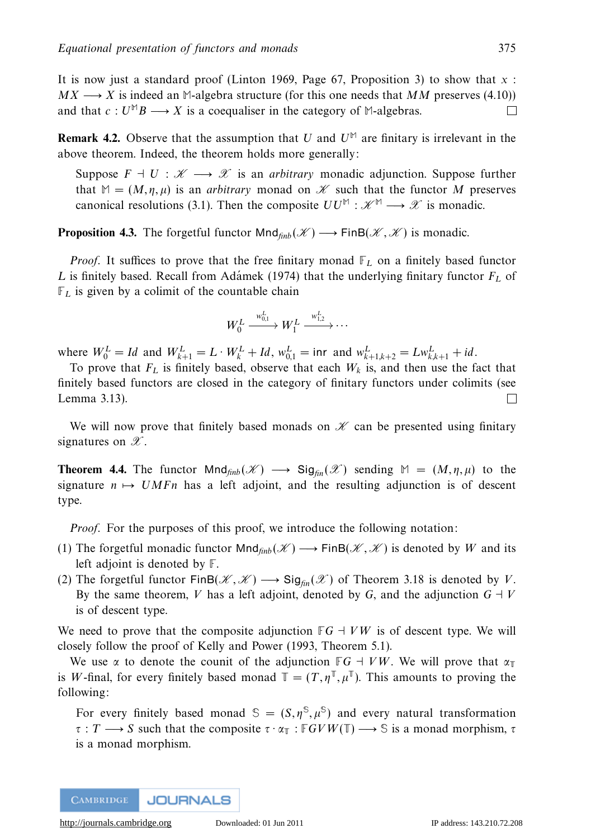It is now just a standard proof (Linton 1969, Page 67, Proposition 3) to show that *x* :  $MX \rightarrow X$  is indeed an M-algebra structure (for this one needs that MM preserves (4.10)) and that  $c: U^{\mathbb{M}}B \longrightarrow X$  is a coequaliser in the category of M-algebras. П

**Remark 4.2.** Observe that the assumption that *U* and  $U^{\mathbb{M}}$  are finitary is irrelevant in the above theorem. Indeed, the theorem holds more generally:

Suppose  $F \dashv U : \mathscr{K} \longrightarrow \mathscr{X}$  is an *arbitrary* monadic adjunction. Suppose further that  $M = (M, \eta, \mu)$  is an *arbitrary* monad on *K* such that the functor *M* preserves canonical resolutions (3.1). Then the composite  $UU^{\mathbb{M}} : \mathcal{K}^{\mathbb{M}} \longrightarrow \mathcal{X}$  is monadic.

**Proposition 4.3.** The forgetful functor  $\text{Mnd}_{\text{finb}}(\mathcal{K}) \longrightarrow \text{FinB}(\mathcal{K}, \mathcal{K})$  is monadic.

*Proof.* It suffices to prove that the free finitary monad  $\mathbb{F}_L$  on a finitely based functor *L* is finitely based. Recall from Adámek (1974) that the underlying finitary functor  $F_L$  of  $\mathbb{F}_L$  is given by a colimit of the countable chain

$$
W_0^L \xrightarrow{w_{0,1}^L} W_1^L \xrightarrow{w_{1,2}^L} \cdots
$$

where  $W_0^L = Id$  and  $W_{k+1}^L = L \cdot W_k^L + Id$ ,  $w_{0,1}^L = \text{inr}$  and  $w_{k+1,k+2}^L = Lw_{k,k+1}^L + id$ .

To prove that  $F_L$  is finitely based, observe that each  $W_k$  is, and then use the fact that finitely based functors are closed in the category of finitary functors under colimits (see Lemma 3.13).  $\Box$ 

We will now prove that finitely based monads on  $\mathcal K$  can be presented using finitary signatures on  $\mathscr{X}$ .

**Theorem 4.4.** The functor  $\text{Mnd}_{finb}(\mathcal{K}) \longrightarrow \text{Sig}_{fin}(\mathcal{K})$  sending  $M = (M, \eta, \mu)$  to the signature  $n \mapsto U M F n$  has a left adjoint, and the resulting adjunction is of descent type.

Proof. For the purposes of this proof, we introduce the following notation:

- (1) The forgetful monadic functor  $Mnd_{finb}(\mathcal{K}) \longrightarrow FinB(\mathcal{K}, \mathcal{K})$  is denoted by *W* and its left adjoint is denoted by **F**.
- (2) The forgetful functor FinB( $\mathscr{K}, \mathscr{K}$ )  $\longrightarrow$  Sig<sub>fm</sub>( $\mathscr{K}$ ) of Theorem 3.18 is denoted by *V*. By the same theorem, *V* has a left adjoint, denoted by *G*, and the adjunction  $G \perp V$ is of descent type.

We need to prove that the composite adjunction  $\mathbb{F}G + VW$  is of descent type. We will closely follow the proof of Kelly and Power (1993, Theorem 5.1).

We use  $\alpha$  to denote the counit of the adjunction  $\mathbb{F}G + VW$ . We will prove that  $\alpha_{\mathbb{T}}$ is *W*-final, for every finitely based monad  $\mathbb{T} = (T, \eta^{\mathbb{T}}, \mu^{\mathbb{T}})$ . This amounts to proving the following:

For every finitely based monad  $\mathcal{S} = (S, \eta^S, \mu^S)$  and every natural transformation *τ* : *T* −→ *S* such that the composite *τ* · *α***<sup>T</sup>** : **F***GVW*(**T**) −→ **S** is a monad morphism, *τ* is a monad morphism.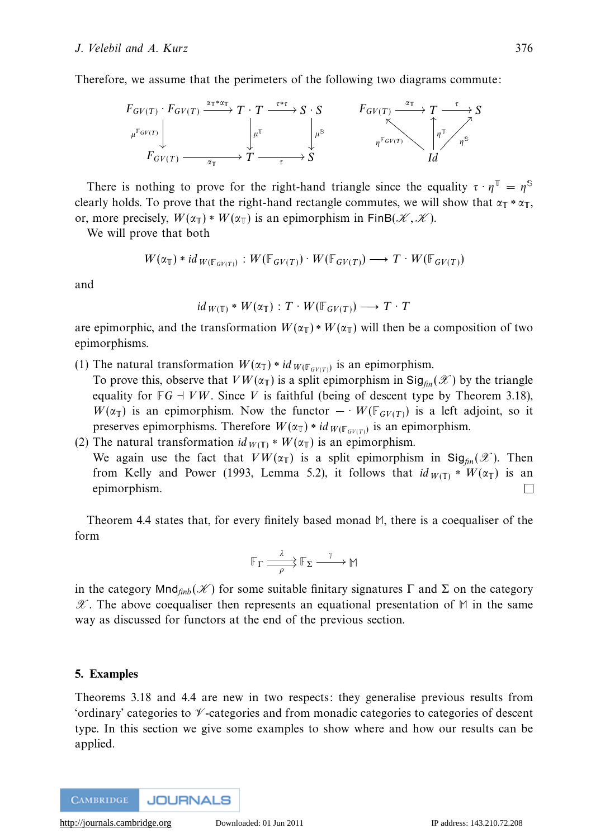Therefore, we assume that the perimeters of the following two diagrams commute:



There is nothing to prove for the right-hand triangle since the equality  $\tau \cdot \eta^T = \eta^S$ clearly holds. To prove that the right-hand rectangle commutes, we will show that  $\alpha_{\mathbb{T}} * \alpha_{\mathbb{T}}$ , or, more precisely,  $W(\alpha_{\mathbb{T}}) * W(\alpha_{\mathbb{T}})$  is an epimorphism in FinB( $\mathcal{K}, \mathcal{K}$ ).

We will prove that both

$$
W(\alpha_{\mathbb{T}})*id_{W(\mathbb{F}_{GV(T)})}: W(\mathbb{F}_{GV(T)})\cdot W(\mathbb{F}_{GV(T)}) \longrightarrow T\cdot W(\mathbb{F}_{GV(T)})
$$

and

$$
id_{W(\mathbb{T})} * W(\alpha_{\mathbb{T}}) : T \cdot W(\mathbb{F}_{GV(T)}) \longrightarrow T \cdot T
$$

are epimorphic, and the transformation  $W(\alpha_{\mathbb{T}}) * W(\alpha_{\mathbb{T}})$  will then be a composition of two epimorphisms.

- (1) The natural transformation  $W(\alpha_{\mathbb{T}}) * id_{W(\mathbb{F}_{GV(T)})}$  is an epimorphism.
- To prove this, observe that  $VW(\alpha_{\mathbb{T}})$  is a split epimorphism in  $\text{Sig}_{\text{fin}}(\mathscr{X})$  by the triangle equality for  $\mathbb{F}G \to VW$ . Since *V* is faithful (being of descent type by Theorem 3.18), *W*( $\alpha_{\mathbb{T}}$ ) is an epimorphism. Now the functor  $-V(\mathbb{F}_{GV(T)})$  is a left adjoint, so it preserves epimorphisms. Therefore  $W(\alpha_{\mathbb{T}}) * id_{W(\mathbb{F}_{GW(T)})}$  is an epimorphism.
- (2) The natural transformation  $id_{W(\mathbb{T})} * W(\alpha_{\mathbb{T}})$  is an epimorphism. We again use the fact that  $VW(\alpha_{\mathbb{T}})$  is a split epimorphism in Sig<sub>fin</sub>( $\mathscr{X}$ ). Then from Kelly and Power (1993, Lemma 5.2), it follows that  $id_{W(\mathbb{T})} * W(\alpha_{\mathbb{T}})$  is an epimorphism.  $\Box$

Theorem 4.4 states that, for every finitely based monad **M**, there is a coequaliser of the form

$$
\mathbb{F}_{\Gamma} \xrightarrow{\lambda} \mathbb{F}_{\Sigma} \xrightarrow{\gamma} \mathbb{M}
$$

in the category  $\text{Mnd}_{finb}(\mathscr{K})$  for some suitable finitary signatures  $\Gamma$  and  $\Sigma$  on the category  $\mathscr{X}$ . The above coequaliser then represents an equational presentation of  $M$  in the same way as discussed for functors at the end of the previous section.

# **5. Examples**

Theorems 3.18 and 4.4 are new in two respects: they generalise previous results from 'ordinary' categories to  $\mathcal V$ -categories and from monadic categories to categories of descent type. In this section we give some examples to show where and how our results can be applied.

**JOURNALS CAMBRIDGE**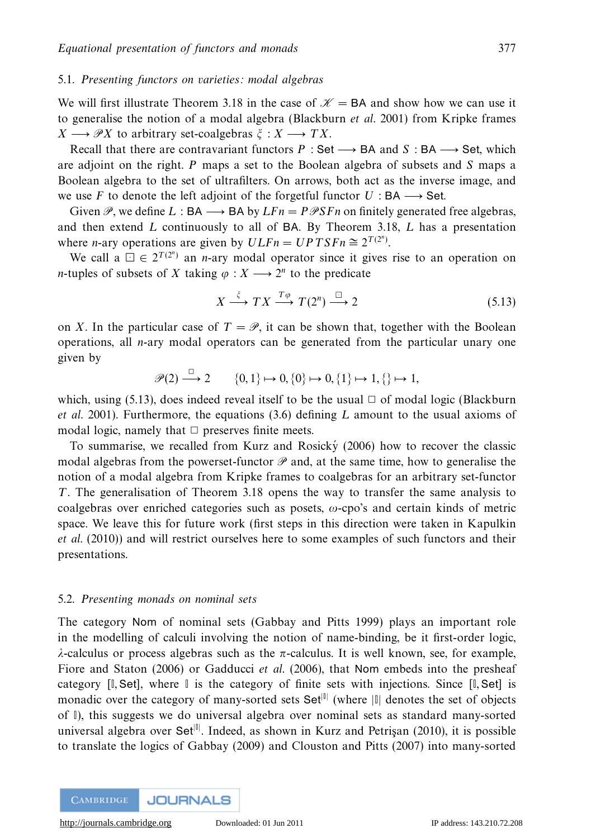## 5.1. Presenting functors on varieties: modal algebras

We will first illustrate Theorem 3.18 in the case of  $\mathcal{K} = BA$  and show how we can use it to generalise the notion of a modal algebra (Blackburn et al. 2001) from Kripke frames  $X \longrightarrow \mathscr{P}X$  to arbitrary set-coalgebras  $\xi : X \longrightarrow TX$ .

Recall that there are contravariant functors  $P : Set \longrightarrow BA$  and  $S : BA \longrightarrow Set$ , which are adjoint on the right. *P* maps a set to the Boolean algebra of subsets and *S* maps a Boolean algebra to the set of ultrafilters. On arrows, both act as the inverse image, and we use *F* to denote the left adjoint of the forgetful functor  $U : BA \longrightarrow Set$ .

Given  $\mathcal{P}$ , we define L : BA  $\longrightarrow$  BA by  $LFn = P\mathcal{P}SFn$  on finitely generated free algebras, and then extend *L* continuously to all of BA. By Theorem 3.18, *L* has a presentation where *n*-ary operations are given by  $ULFn = UP T SFn \approx 2^{T(2^n)}$ .

We call a  $\Box \in 2^{T(2^n)}$  an *n*-ary modal operator since it gives rise to an operation on *n*-tuples of subsets of *X* taking  $\varphi : X \longrightarrow 2^n$  to the predicate

$$
X \xrightarrow{\xi} TX \xrightarrow{T\varphi} T(2^n) \xrightarrow{\Box} 2 \tag{5.13}
$$

on *X*. In the particular case of  $T = \mathcal{P}$ , it can be shown that, together with the Boolean operations, all *n*-ary modal operators can be generated from the particular unary one given by

 $\mathscr{P}(2) \longrightarrow 2$  {0, 1}  $\mapsto$  0, {0}  $\mapsto$  0, {1}  $\mapsto$  1, {}  $\mapsto$  1*,* 

which, using (5.13), does indeed reveal itself to be the usual  $\Box$  of modal logic (Blackburn et al. 2001). Furthermore, the equations (3.6) defining *L* amount to the usual axioms of modal logic, namely that  $\Box$  preserves finite meets.

To summarise, we recalled from Kurz and Rosicky  $(2006)$  how to recover the classic modal algebras from the powerset-functor  $\mathscr P$  and, at the same time, how to generalise the notion of a modal algebra from Kripke frames to coalgebras for an arbitrary set-functor *T*. The generalisation of Theorem 3.18 opens the way to transfer the same analysis to coalgebras over enriched categories such as posets, *ω*-cpo's and certain kinds of metric space. We leave this for future work (first steps in this direction were taken in Kapulkin et al. (2010)) and will restrict ourselves here to some examples of such functors and their presentations.

# 5.2. Presenting monads on nominal sets

The category Nom of nominal sets (Gabbay and Pitts 1999) plays an important role in the modelling of calculi involving the notion of name-binding, be it first-order logic, *λ*-calculus or process algebras such as the *π*-calculus. It is well known, see, for example, Fiore and Staton (2006) or Gadducci *et al.* (2006), that Nom embeds into the presheaf category [**I***,* Set], where **I** is the category of finite sets with injections. Since [**I***,* Set] is monadic over the category of many-sorted sets Set<sup>|||</sup> (where  $|\cdot|$  denotes the set of objects of **I**), this suggests we do universal algebra over nominal sets as standard many-sorted universal algebra over Set<sup>[0]</sup>. Indeed, as shown in Kurz and Petrişan (2010), it is possible to translate the logics of Gabbay (2009) and Clouston and Pitts (2007) into many-sorted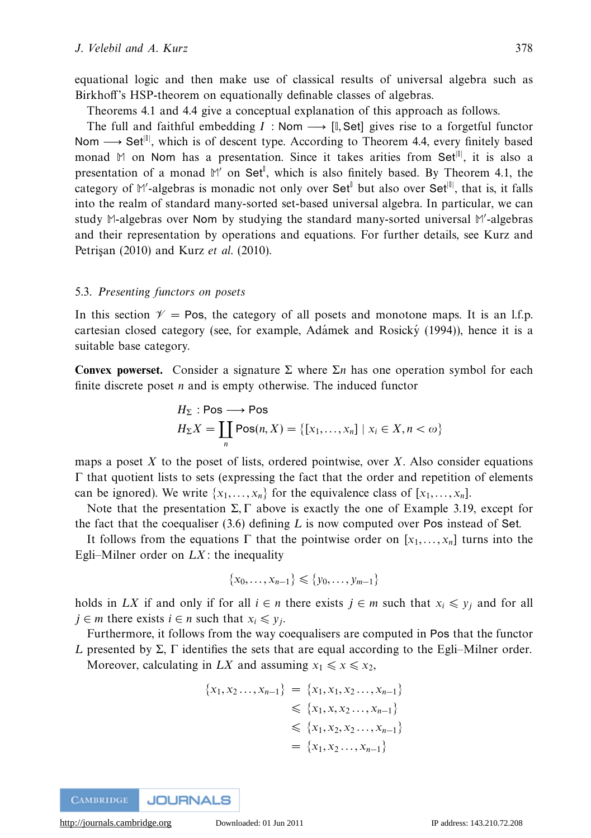equational logic and then make use of classical results of universal algebra such as Birkhoff's HSP-theorem on equationally definable classes of algebras.

Theorems 4.1 and 4.4 give a conceptual explanation of this approach as follows.

The full and faithful embedding  $I : \mathsf{Nom} \longrightarrow [I, \mathsf{Set}]$  gives rise to a forgetful functor Nom → Set<sup>|||</sup>, which is of descent type. According to Theorem 4.4, every finitely based monad M on Nom has a presentation. Since it takes arities from Set<sup>[0</sup>], it is also a presentation of a monad M' on Set<sup>1</sup>, which is also finitely based. By Theorem 4.1, the category of M'-algebras is monadic not only over Set<sup>1</sup> but also over Set<sup>|||</sup>, that is, it falls into the realm of standard many-sorted set-based universal algebra. In particular, we can study **M**-algebras over Nom by studying the standard many-sorted universal **M** -algebras and their representation by operations and equations. For further details, see Kurz and Petrisan (2010) and Kurz et al. (2010).

# 5.3. Presenting functors on posets

In this section  $\mathcal{V} = \text{Pos}$ , the category of all posets and monotone maps. It is an l.f.p. cartesian closed category (see, for example, Adámek and Rosický  $(1994)$ ), hence it is a suitable base category.

**Convex powerset.** Consider a signature Σ where  $Σn$  has one operation symbol for each finite discrete poset *n* and is empty otherwise. The induced functor

$$
H_{\Sigma}: \text{Pos} \longrightarrow \text{Pos}
$$
  

$$
H_{\Sigma}X = \coprod_{n} \text{Pos}(n, X) = \{ [x_1, \dots, x_n] \mid x_i \in X, n < \omega \}
$$

maps a poset *X* to the poset of lists, ordered pointwise, over *X*. Also consider equations  $Γ$  that quotient lists to sets (expressing the fact that the order and repetition of elements can be ignored). We write  $\{x_1, \ldots, x_n\}$  for the equivalence class of  $[x_1, \ldots, x_n]$ .

Note that the presentation Σ*,*Γ above is exactly the one of Example 3.19, except for the fact that the coequaliser (3.6) defining *L* is now computed over Pos instead of Set.

It follows from the equations  $\Gamma$  that the pointwise order on  $[x_1, \ldots, x_n]$  turns into the Egli–Milner order on *LX*: the inequality

$$
\{x_0, \ldots, x_{n-1}\} \leq \{y_0, \ldots, y_{m-1}\}
$$

holds in *LX* if and only if for all  $i \in n$  there exists  $j \in m$  such that  $x_i \leq y_i$  and for all *j* ∈ *m* there exists *i* ∈ *n* such that  $x_i$  ≤  $y_i$ .

Furthermore, it follows from the way coequalisers are computed in Pos that the functor *L* presented by Σ, Γ identifies the sets that are equal according to the Egli–Milner order. Moreover, calculating in *LX* and assuming  $x_1 \le x \le x_2$ ,

$$
\{x_1, x_2..., x_{n-1}\} = \{x_1, x_1, x_2..., x_{n-1}\}\
$$

$$
\leq \{x_1, x, x_2..., x_{n-1}\}\
$$

$$
\leq \{x_1, x_2, x_2..., x_{n-1}\}\
$$

$$
= \{x_1, x_2..., x_{n-1}\}\
$$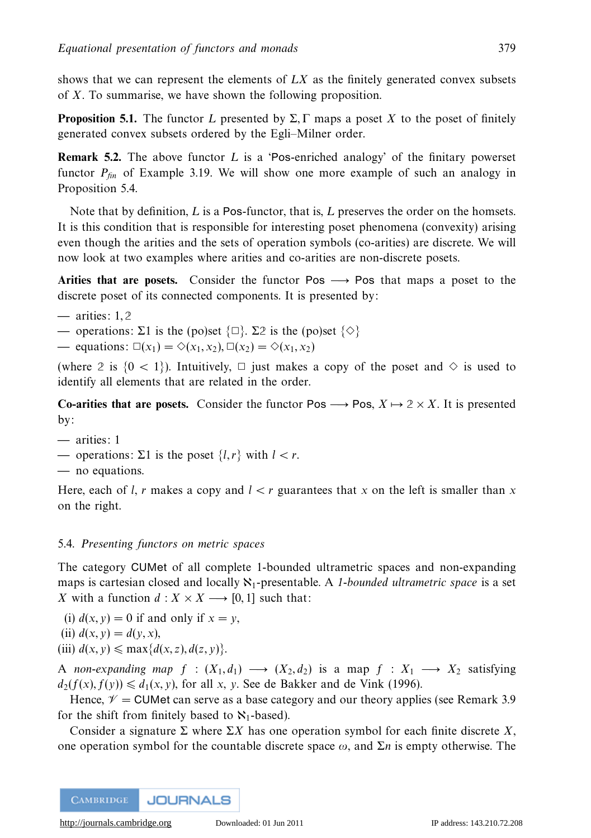shows that we can represent the elements of *LX* as the finitely generated convex subsets of *X*. To summarise, we have shown the following proposition.

**Proposition 5.1.** The functor *L* presented by  $\Sigma$ , Γ maps a poset *X* to the poset of finitely generated convex subsets ordered by the Egli–Milner order.

**Remark 5.2.** The above functor *L* is a 'Pos-enriched analogy' of the finitary powerset functor  $P_{fin}$  of Example 3.19. We will show one more example of such an analogy in Proposition 5.4.

Note that by definition, *L* is a Pos-functor, that is, *L* preserves the order on the homsets. It is this condition that is responsible for interesting poset phenomena (convexity) arising even though the arities and the sets of operation symbols (co-arities) are discrete. We will now look at two examples where arities and co-arities are non-discrete posets.

**Arities that are posets.** Consider the functor Pos  $\rightarrow$  Pos that maps a poset to the discrete poset of its connected components. It is presented by:

- **—** arities: 1*,* **2**
- operations: Σ1 is the (po)set  $\{\Box\}$ . Σ2 is the (po)set  $\{\Diamond\}$
- → equations:  $\square(x_1) = \diamondsuit(x_1, x_2), \square(x_2) = \diamondsuit(x_1, x_2)$

(where 2 is  $\{0 \leq 1\}$ ). Intuitively,  $\Box$  just makes a copy of the poset and  $\diamond$  is used to identify all elements that are related in the order.

**Co-arities that are posets.** Consider the functor Pos  $\longrightarrow$  Pos,  $X \mapsto 2 \times X$ . It is presented by:

- **—** arities: 1
- operations: Σ1 is the poset  ${l,r}$  with  $l < r$ .
- **—** no equations.

Here, each of *l*, *r* makes a copy and  $l < r$  guarantees that x on the left is smaller than x on the right.

# 5.4. Presenting functors on metric spaces

The category CUMet of all complete 1-bounded ultrametric spaces and non-expanding maps is cartesian closed and locally  $\aleph_1$ -presentable. A 1-bounded ultrametric space is a set *X* with a function  $d: X \times X \longrightarrow [0, 1]$  such that:

(i)  $d(x, y) = 0$  if and only if  $x = y$ ,

(ii) 
$$
d(x, y) = d(y, x)
$$
,

(iii)  $d(x, y) \le \max\{d(x, z), d(z, y)\}.$ 

A non-expanding map  $f : (X_1, d_1) \longrightarrow (X_2, d_2)$  is a map  $f : X_1 \longrightarrow X_2$  satisfying  $d_2(f(x), f(y)) \le d_1(x, y)$ , for all *x*, *y*. See de Bakker and de Vink (1996).

Hence,  $V =$  CUMet can serve as a base category and our theory applies (see Remark 3.9) for the shift from finitely based to  $\aleph_1$ -based).

Consider a signature  $\Sigma$  where  $\Sigma X$  has one operation symbol for each finite discrete X, one operation symbol for the countable discrete space *ω*, and Σ*n* is empty otherwise. The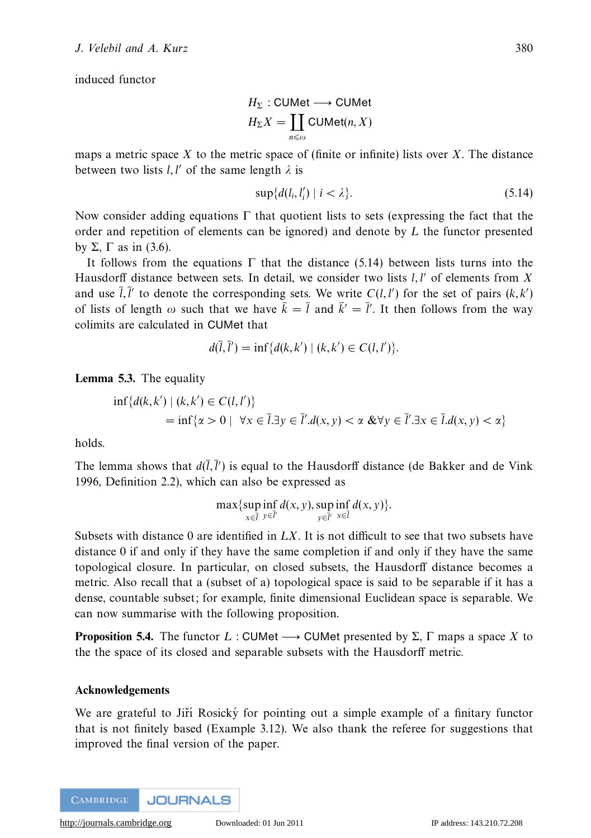induced functor

$$
H_{\Sigma}: \text{CUMet} \longrightarrow \text{CUMet}
$$

$$
H_{\Sigma}X = \coprod_{n \leq \omega} \text{CUMet}(n, X)
$$

maps a metric space *X* to the metric space of (finite or infinite) lists over *X*. The distance between two lists  $l, l'$  of the same length  $\lambda$  is

$$
\sup\{d(l_i, l'_i) \mid i < \lambda\}.\tag{5.14}
$$

Now consider adding equations  $\Gamma$  that quotient lists to sets (expressing the fact that the order and repetition of elements can be ignored) and denote by *L* the functor presented by Σ, Γ as in  $(3.6)$ .

It follows from the equations  $\Gamma$  that the distance (5.14) between lists turns into the Hausdorff distance between sets. In detail, we consider two lists  $l, l'$  of elements from  $X$ and use  $\overline{l}, \overline{l}'$  to denote the corresponding sets. We write  $C(l, l')$  for the set of pairs  $(k, k')$ of lists of length  $\omega$  such that we have  $\bar{k} = \bar{l}$  and  $\bar{k}' = \bar{l}'$ . It then follows from the way colimits are calculated in CUMet that

$$
d(\bar{l}, \bar{l}') = \inf \{ d(k, k') \mid (k, k') \in C(l, l') \}.
$$

**Lemma 5.3.** The equality

$$
\inf \{ d(k, k') \mid (k, k') \in C(l, l') \} \n= \inf \{ \alpha > 0 \mid \forall x \in \overline{l} . \exists y \in \overline{l}' . d(x, y) < \alpha \& \forall y \in \overline{l}' . \exists x \in \overline{l} . d(x, y) < \alpha \}
$$

holds.

The lemma shows that  $d(\overline{l}, \overline{l}')$  is equal to the Hausdorff distance (de Bakker and de Vink 1996, Definition 2.2), which can also be expressed as

$$
\max \{ \sup_{x \in \overline{I}} \inf_{y \in \overline{I}'} d(x, y), \sup_{y \in \overline{I}'} \inf_{x \in \overline{I}} d(x, y) \}.
$$

Subsets with distance 0 are identified in *LX*. It is not difficult to see that two subsets have distance 0 if and only if they have the same completion if and only if they have the same topological closure. In particular, on closed subsets, the Hausdorff distance becomes a metric. Also recall that a (subset of a) topological space is said to be separable if it has a dense, countable subset; for example, finite dimensional Euclidean space is separable. We can now summarise with the following proposition.

**Proposition 5.4.** The functor L : CUMet  $\longrightarrow$  CUMet presented by  $\Sigma$ ,  $\Gamma$  maps a space X to the the space of its closed and separable subsets with the Hausdorff metric.

### **Acknowledgements**

We are grateful to Jiří Rosický for pointing out a simple example of a finitary functor that is not finitely based (Example 3.12). We also thank the referee for suggestions that improved the final version of the paper.